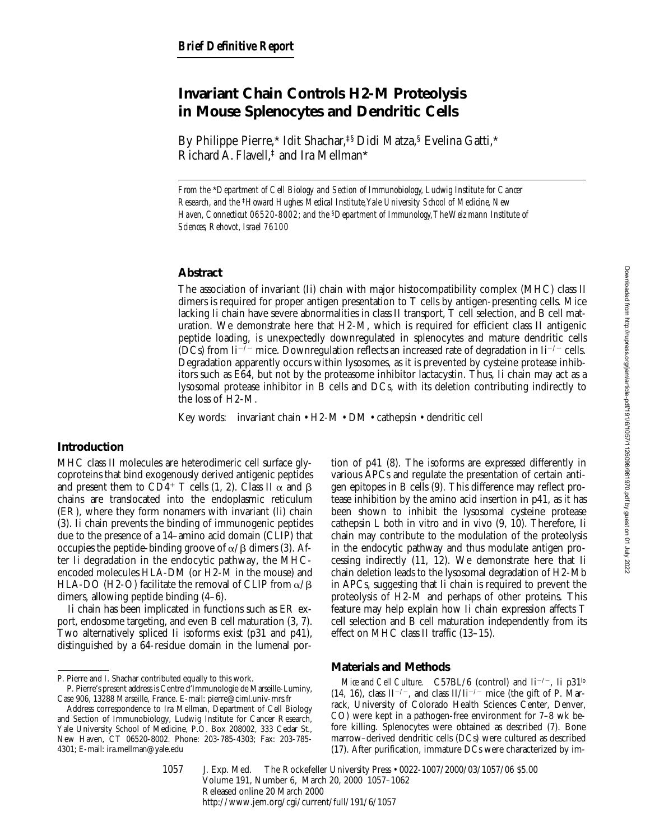# **Invariant Chain Controls H2-M Proteolysis in Mouse Splenocytes and Dendritic Cells**

By Philippe Pierre,\* Idit Shachar,‡§ Didi Matza,§ Evelina Gatti,\* Richard A. Flavell, $\ddagger$  and Ira Mellman\*

*From the* \**Department of Cell Biology and Section of Immunobiology, Ludwig Institute for Cancer Research, and the* ‡*Howard Hughes Medical Institute, Yale University School of Medicine, New Haven, Connecticut 06520-8002; and the* §*Department of Immunology, The Weizmann Institute of Sciences, Rehovot, Israel 76100*

### **Abstract**

The association of invariant (Ii) chain with major histocompatibility complex (MHC) class II dimers is required for proper antigen presentation to T cells by antigen-presenting cells. Mice lacking Ii chain have severe abnormalities in class II transport, T cell selection, and B cell maturation. We demonstrate here that H2-M, which is required for efficient class II antigenic peptide loading, is unexpectedly downregulated in splenocytes and mature dendritic cells (DCs) from Ii<sup>-7</sup> mice. Downregulation reflects an increased rate of degradation in Ii<sup>-7</sup> cells. Degradation apparently occurs within lysosomes, as it is prevented by cysteine protease inhibitors such as E64, but not by the proteasome inhibitor lactacystin. Thus, Ii chain may act as a lysosomal protease inhibitor in B cells and DCs, with its deletion contributing indirectly to the loss of H2-M.

Key words: invariant chain • H2-M • DM • cathepsin • dendritic cell

## **Introduction**

MHC class II molecules are heterodimeric cell surface glycoproteins that bind exogenously derived antigenic peptides and present them to CD4<sup>+</sup> T cells (1, 2). Class II  $\alpha$  and  $\beta$ chains are translocated into the endoplasmic reticulum (ER), where they form nonamers with invariant (Ii) chain (3). Ii chain prevents the binding of immunogenic peptides due to the presence of a 14–amino acid domain (CLIP) that occupies the peptide-binding groove of  $\alpha/\beta$  dimers (3). After Ii degradation in the endocytic pathway, the MHCencoded molecules HLA-DM (or H2-M in the mouse) and HLA-DO (H2-O) facilitate the removal of CLIP from  $\alpha$ / $\beta$ dimers, allowing peptide binding (4–6).

Ii chain has been implicated in functions such as ER export, endosome targeting, and even B cell maturation (3, 7). Two alternatively spliced Ii isoforms exist (p31 and p41), distinguished by a 64-residue domain in the lumenal portion of p41 (8). The isoforms are expressed differently in various APCs and regulate the presentation of certain antigen epitopes in B cells (9). This difference may reflect protease inhibition by the amino acid insertion in p41, as it has been shown to inhibit the lysosomal cysteine protease cathepsin L both in vitro and in vivo (9, 10). Therefore, Ii chain may contribute to the modulation of the proteolysis in the endocytic pathway and thus modulate antigen processing indirectly (11, 12). We demonstrate here that Ii chain deletion leads to the lysosomal degradation of H2-Mb in APCs, suggesting that Ii chain is required to prevent the proteolysis of H2-M and perhaps of other proteins. This feature may help explain how Ii chain expression affects T cell selection and B cell maturation independently from its effect on MHC class II traffic (13–15).

## **Materials and Methods**

*Mice and Cell Culture.* C57BL/6 (control) and  $\mathrm{I}i^{-/-}$ , Ii p31<sup>lo</sup> (14, 16), class  $II^{-/-}$ , and class  $II/Ii^{-/-}$  mice (the gift of P. Marrack, University of Colorado Health Sciences Center, Denver, CO) were kept in a pathogen-free environment for 7–8 wk before killing. Splenocytes were obtained as described (7). Bone marrow–derived dendritic cells (DCs) were cultured as described (17). After purification, immature DCs were characterized by im-

1057

J. Exp. Med. © The Rockefeller University Press • 0022-1007/2000/03/1057/06 \$5.00 Volume 191, Number 6, March 20, 2000 1057–1062 Released online 20 March 2000 http://www.jem.org/cgi/current/full/191/6/1057

P. Pierre and I. Shachar contributed equally to this work.

P. Pierre's present address is Centre d'Immunologie de Marseille-Luminy, Case 906, 13288 Marseille, France. E-mail: pierre@ciml.univ-mrs.fr

Address correspondence to Ira Mellman, Department of Cell Biology and Section of Immunobiology, Ludwig Institute for Cancer Research, Yale University School of Medicine, P.O. Box 208002, 333 Cedar St., New Haven, CT 06520-8002. Phone: 203-785-4303; Fax: 203-785- 4301; E-mail: ira.mellman@yale.edu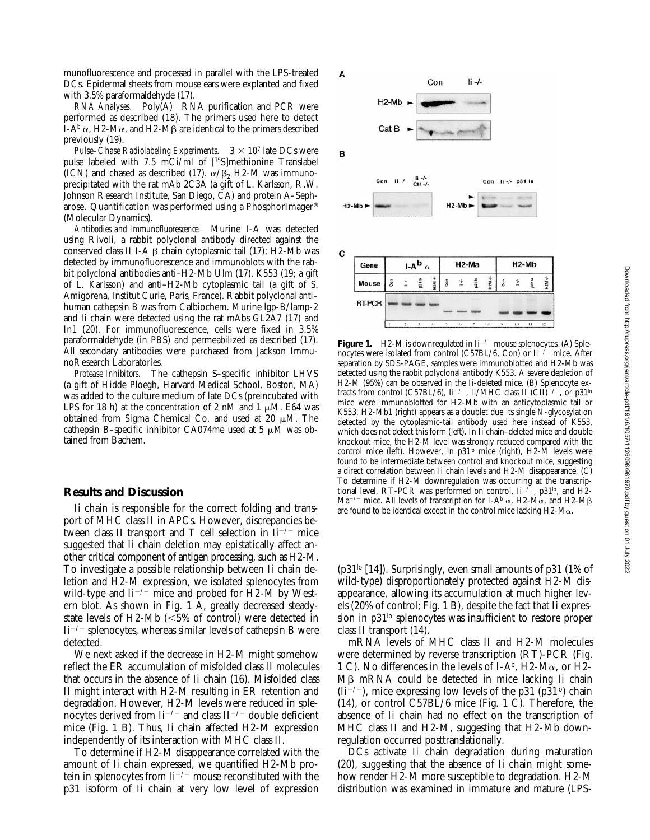munofluorescence and processed in parallel with the LPS-treated DCs. Epidermal sheets from mouse ears were explanted and fixed with 3.5% paraformaldehyde (17).

 $RNA$  *Analyses.* Poly $(A)^+$  RNA purification and PCR were performed as described (18). The primers used here to detect I-A<sup>b</sup>  $\alpha$ , H2-M $\alpha$ , and H2-M $\beta$  are identical to the primers described previously (19).

*Pulse–Chase Radiolabeling Experiments.*  $3 \times 10^7$  late DCs were pulse labeled with 7.5 mCi/ml of [35S]methionine Translabel (ICN) and chased as described (17).  $\alpha/\beta_2$  H2-M was immunoprecipitated with the rat mAb 2C3A (a gift of L. Karlsson, R.W. Johnson Research Institute, San Diego, CA) and protein A–Sepharose. Quantification was performed using a PhosphorImager® (Molecular Dynamics).

*Antibodies and Immunofluorescence.* Murine I-A was detected using Rivoli, a rabbit polyclonal antibody directed against the conserved class II I-A  $\beta$  chain cytoplasmic tail (17); H2-Mb was detected by immunofluorescence and immunoblots with the rabbit polyclonal antibodies anti–H2-Mb Ulm (17), K553 (19; a gift of L. Karlsson) and anti–H2-Mb cytoplasmic tail (a gift of S. Amigorena, Institut Curie, Paris, France). Rabbit polyclonal anti– human cathepsin B was from Calbiochem. Murine lgp-B/lamp-2 and Ii chain were detected using the rat mAbs GL2A7 (17) and In1 (20). For immunofluorescence, cells were fixed in 3.5% paraformaldehyde (in PBS) and permeabilized as described (17). All secondary antibodies were purchased from Jackson ImmunoResearch Laboratories.

*Protease Inhibitors.* The cathepsin S–specific inhibitor LHVS (a gift of Hidde Ploegh, Harvard Medical School, Boston, MA) was added to the culture medium of late DCs (preincubated with LPS for 18 h) at the concentration of 2 nM and 1  $\mu$ M. E64 was obtained from Sigma Chemical Co. and used at 20  $\mu$ M. The cathepsin B-specific inhibitor CA074me used at 5  $\mu$ M was obtained from Bachem.

#### **Results and Discussion**

Ii chain is responsible for the correct folding and transport of MHC class II in APCs. However, discrepancies between class II transport and T cell selection in  $\mathrm{I}i^{-/-}$  mice suggested that Ii chain deletion may epistatically affect another critical component of antigen processing, such as H2-M. To investigate a possible relationship between Ii chain deletion and H2-M expression, we isolated splenocytes from wild-type and  $\text{Li}^{-/-}$  mice and probed for H2-M by Western blot. As shown in Fig. 1 A, greatly decreased steadystate levels of H2-Mb  $\left| \langle 5\% \rangle$  of control) were detected in  $Ii^{-/-}$  splenocytes, whereas similar levels of cathepsin B were detected.

We next asked if the decrease in H2-M might somehow reflect the ER accumulation of misfolded class II molecules that occurs in the absence of Ii chain (16). Misfolded class II might interact with H2-M resulting in ER retention and degradation. However, H2-M levels were reduced in splenocytes derived from  $\text{Li}^{-/-}$  and class  $\text{II}^{-/-}$  double deficient mice (Fig. 1 B). Thus, Ii chain affected H2-M expression independently of its interaction with MHC class II.

p31 isoform of Ii chain at very low level of expression distribution To determine if H2-M disappearance correlated with the amount of Ii chain expressed, we quantified H2-Mb protein in splenocytes from  $\mathrm{I}i^{-/-}$  mouse reconstituted with the



**Figure 1.** H2-M is downregulated in  $\mathrm{I}i^{-/-}$  mouse splenocytes. (A) Splenocytes were isolated from control (C57BL/6, Con) or  $\mathrm{I}i^{-2}$  mice. After separation by SDS-PAGE, samples were immunoblotted and H2-Mb was detected using the rabbit polyclonal antibody K553. A severe depletion of H2-M (95%) can be observed in the Ii-deleted mice. (B) Splenocyte extracts from control (C57BL/6), Ii<sup>-/-</sup>, Ii/MHC class II (CII)<sup>-/-</sup>, or p31<sup>lo</sup> mice were immunoblotted for H2-Mb with an anticytoplasmic tail or K553. H2-Mb1 (right) appears as a doublet due its single *N*-glycosylation detected by the cytoplasmic-tail antibody used here instead of K553, which does not detect this form (left). In Ii chain–deleted mice and double knockout mice, the H2-M level was strongly reduced compared with the control mice (left). However, in  $p31^{\text{lo}}$  mice (right), H2- $\dot{M}$  levels were found to be intermediate between control and knockout mice, suggesting a direct correlation between Ii chain levels and H2-M disappearance. (C) To determine if H2-M downregulation was occurring at the transcriptional level, RT-PCR was performed on control,  $\text{Li}^{-/-}$ , p31<sup>lo</sup>, and H2-Ma<sup>-/-</sup> mice. All levels of transcription for I-A<sup>b</sup>  $\alpha$ , H2-M $\alpha$ , and H2-M $\beta$ are found to be identical except in the control mice lacking H2-Ma.

( $p31<sup>lo</sup>$  [14]). Surprisingly, even small amounts of  $p31$  (1% of wild-type) disproportionately protected against H2-M disappearance, allowing its accumulation at much higher levels (20% of control; Fig. 1 B), despite the fact that Ii expression in p31<sup>lo</sup> splenocytes was insufficient to restore proper class II transport (14).

mRNA levels of MHC class II and H2-M molecules were determined by reverse transcription (RT)-PCR (Fig. 1 C). No differences in the levels of I-A<sup>b</sup>, H2-M $\alpha$ , or H2-M<sub>B</sub> mRNA could be detected in mice lacking Ii chain  $(Ii^{-/-})$ , mice expressing low levels of the p31 (p31<sup>lo</sup>) chain (14), or control C57BL/6 mice (Fig. 1 C). Therefore, the absence of Ii chain had no effect on the transcription of MHC class II and H2-M, suggesting that H2-Mb downregulation occurred posttranslationally.

DCs activate Ii chain degradation during maturation (20), suggesting that the absence of Ii chain might somehow render H2-M more susceptible to degradation. H2-M distribution was examined in immature and mature (LPS-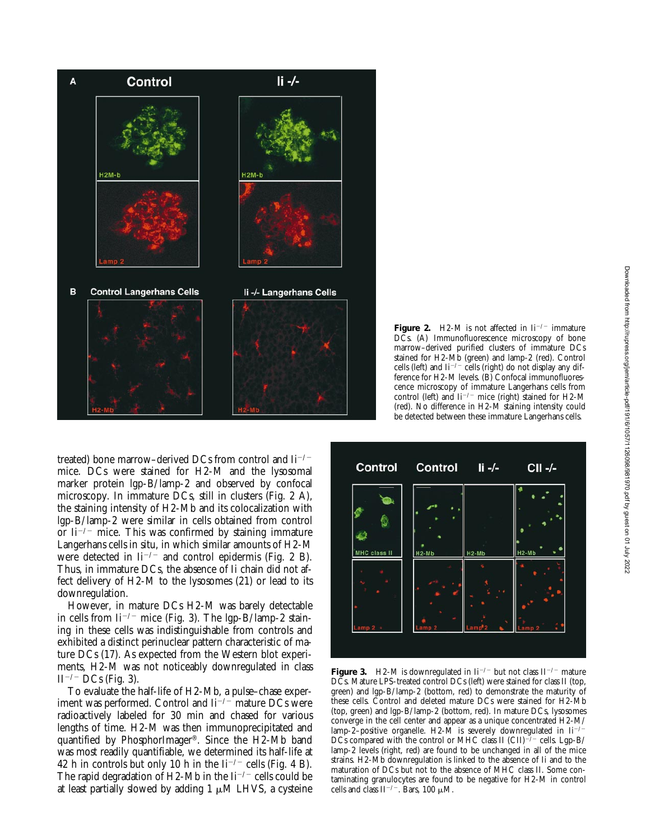

**Figure 2.** H2-M is not affected in  $\mathrm{I}i^{-/-}$  immature DCs. (A) Immunofluorescence microscopy of bone marrow–derived purified clusters of immature DCs stained for H2-Mb (green) and lamp-2 (red). Control cells (left) and  $\mathrm{I}i^{-/-}$  cells (right) do not display any difference for H2-M levels. (B) Confocal immunofluorescence microscopy of immature Langerhans cells from control (left) and  $\overline{li}$ <sup>-/-</sup> mice (right) stained for H2-M (red). No difference in H2-M staining intensity could be detected between these immature Langerhans cells.

treated) bone marrow–derived DCs from control and  $\mathrm{I}i^{-/-}$ mice. DCs were stained for H2-M and the lysosomal marker protein lgp-B/lamp-2 and observed by confocal microscopy. In immature DCs, still in clusters (Fig. 2 A), the staining intensity of H2-Mb and its colocalization with lgp-B/lamp-2 were similar in cells obtained from control or  $I_i^{-/-}$  mice. This was confirmed by staining immature Langerhans cells in situ, in which similar amounts of H2-M were detected in  $\mathrm{I}i^{-/-}$  and control epidermis (Fig. 2 B). Thus, in immature DCs, the absence of Ii chain did not affect delivery of H2-M to the lysosomes (21) or lead to its downregulation.

However, in mature DCs H2-M was barely detectable in cells from  $\mathrm{I}i^{-/-}$  mice (Fig. 3). The lgp-B/lamp-2 staining in these cells was indistinguishable from controls and exhibited a distinct perinuclear pattern characteristic of mature DCs (17). As expected from the Western blot experiments, H2-M was not noticeably downregulated in class  $II^{-/-}$  DCs (Fig. 3).

at least partially slowed by adding  $1 \mu \text{M}$  LHVS, a cysteine cells and To evaluate the half-life of H2-Mb, a pulse–chase experiment was performed. Control and  $\text{Li}^{-/-}$  mature DCs were radioactively labeled for 30 min and chased for various lengths of time. H2-M was then immunoprecipitated and quantified by PhosphorImager®. Since the H2-Mb band was most readily quantifiable, we determined its half-life at 42 h in controls but only 10 h in the  $\rm{I}i^{-/-}$  cells (Fig. 4 B). The rapid degradation of H2-Mb in the Ii<sup>-/-</sup> cells could be



**Figure 3.** H2-M is downregulated in  $\text{Li}^{-/-}$  but not class  $\text{II}^{-/-}$  mature DCs. Mature LPS-treated control DCs (left) were stained for class II (top, green) and lgp-B/lamp-2 (bottom, red) to demonstrate the maturity of these cells. Control and deleted mature DCs were stained for H2-Mb (top, green) and lgp-B/lamp-2 (bottom, red). In mature DCs, lysosomes converge in the cell center and appear as a unique concentrated H2-M/ lamp-2–positive organelle. H2- $\tilde{M}$  is severely downregulated in  $I_1$ <sup>-/-</sup> DCs compared with the control or MHC class II (CII)<sup> $-/-$ </sup> cells. Lgp-B/ lamp-2 levels (right, red) are found to be unchanged in all of the mice strains. H2-Mb downregulation is linked to the absence of Ii and to the maturation of DCs but not to the absence of MHC class II. Some contaminating granulocytes are found to be negative for H2-M in control cells and class  $II^{-/-}$ . Bars, 100  $\mu$ M.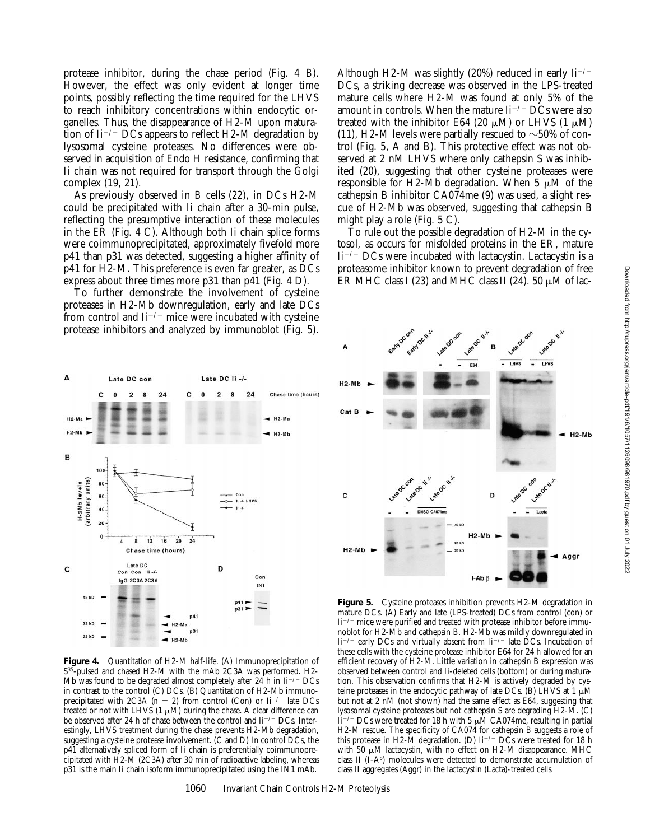protease inhibitor, during the chase period (Fig. 4 B). However, the effect was only evident at longer time points, possibly reflecting the time required for the LHVS to reach inhibitory concentrations within endocytic organelles. Thus, the disappearance of H2-M upon maturation of  $I_1^{-/-}$  DCs appears to reflect H2-M degradation by lysosomal cysteine proteases. No differences were observed in acquisition of Endo H resistance, confirming that Ii chain was not required for transport through the Golgi complex (19, 21).

As previously observed in B cells (22), in DCs H2-M could be precipitated with Ii chain after a 30-min pulse, reflecting the presumptive interaction of these molecules in the ER (Fig. 4 C). Although both Ii chain splice forms were coimmunoprecipitated, approximately fivefold more p41 than p31 was detected, suggesting a higher affinity of p41 for H2-M. This preference is even far greater, as DCs express about three times more p31 than p41 (Fig. 4 D).

To further demonstrate the involvement of cysteine proteases in H2-Mb downregulation, early and late DCs from control and  $\text{Li}^{-/-}$  mice were incubated with cysteine protease inhibitors and analyzed by immunoblot (Fig. 5).

Although H2-M was slightly (20%) reduced in early  $\rm{I}i^{-/-}$ DCs, a striking decrease was observed in the LPS-treated mature cells where H2-M was found at only 5% of the amount in controls. When the mature  $\text{Li}^{-/-} \text{DCs}$  were also treated with the inhibitor E64 (20  $\mu$ M) or LHVS (1  $\mu$ M) (11), H2-M levels were partially rescued to  $\sim$  50% of control (Fig. 5, A and B). This protective effect was not observed at 2 nM LHVS where only cathepsin S was inhibited (20), suggesting that other cysteine proteases were responsible for H2-Mb degradation. When  $5 \mu M$  of the cathepsin B inhibitor CA074me (9) was used, a slight rescue of H2-Mb was observed, suggesting that cathepsin B might play a role (Fig. 5 C).

To rule out the possible degradation of H2-M in the cytosol, as occurs for misfolded proteins in the ER, mature  $Ii^{-/-}$  DCs were incubated with lactacystin. Lactacystin is a proteasome inhibitor known to prevent degradation of free ER MHC class I (23) and MHC class II (24). 50  $\mu$ M of lac-



**Figure 4.** Quantitation of H2-M half-life. (A) Immunoprecipitation of S<sup>35</sup>-pulsed and chased H2-M with the mAb 2C3A was performed. H2-Mb was found to be degraded almost completely after  $24$  h in Ii<sup>-/-</sup> DCs in contrast to the control (C) DCs. (B) Quantitation of H2-Mb immunoprecipitated with 2C3A ( $n = 2$ ) from control (Con) or Ii<sup>-/-</sup> late DCs treated or not with LHVS (1  $\mu$ M) during the chase. A clear difference can be observed after 24 h of chase between the control and Ii<sup>-/-</sup> DCs. Interestingly, LHVS treatment during the chase prevents H2-Mb degradation, suggesting a cysteine protease involvement. (C and D) In control DCs, the p41 alternatively spliced form of Ii chain is preferentially coimmunoprecipitated with H2-M (2C3A) after 30 min of radioactive labeling, whereas p31 is the main Ii chain isoform immunoprecipitated using the IN1 mAb.



**Figure 5.** Cysteine proteases inhibition prevents H2-M degradation in mature DCs. (A) Early and late (LPS-treated) DCs from control (con) or  ${\rm li}^{-/-}$  mice were purified and treated with protease inhibitor before immunoblot for H2-Mb and cathepsin B. H2-Mb was mildly downregulated in  $\text{Ii}^{-/-}$  early DCs and virtually absent from  $\text{Ii}^{-/-}$  late DCs. Incubation of these cells with the cysteine protease inhibitor E64 for 24 h allowed for an efficient recovery of H2-M. Little variation in cathepsin B expression was observed between control and Ii-deleted cells (bottom) or during maturation. This observation confirms that H2-M is actively degraded by cysteine proteases in the endocytic pathway of late DCs. (B) LHVS at  $1 \mu M$ 

class II aggregates (Aggr) in the lactacystin (Lacta)-treated cells.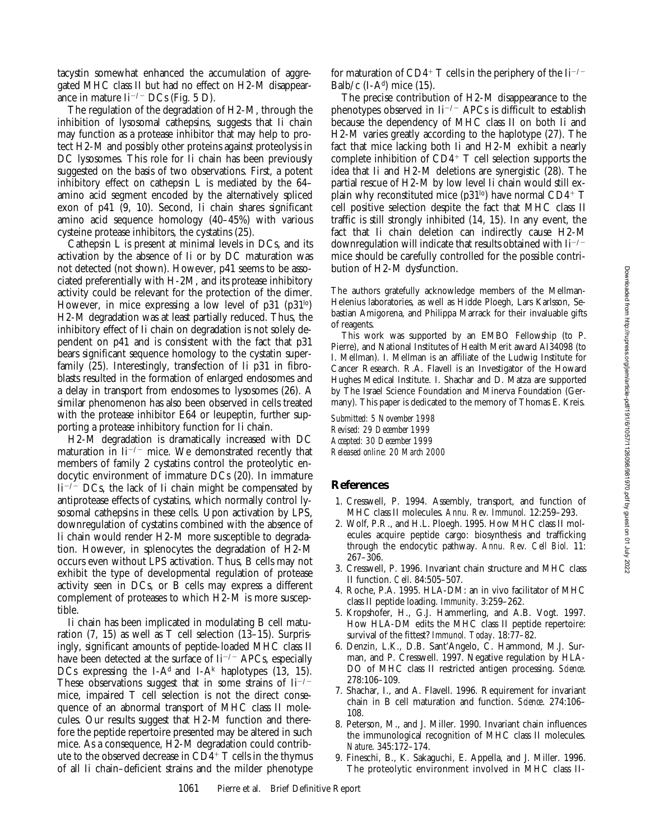tacystin somewhat enhanced the accumulation of aggregated MHC class II but had no effect on H2-M disappearance in mature  $\rm{I}i^{-/-}$  DCs (Fig. 5 D).

The regulation of the degradation of H2-M, through the inhibition of lysosomal cathepsins, suggests that Ii chain may function as a protease inhibitor that may help to protect H2-M and possibly other proteins against proteolysis in DC lysosomes. This role for Ii chain has been previously suggested on the basis of two observations. First, a potent inhibitory effect on cathepsin L is mediated by the 64– amino acid segment encoded by the alternatively spliced exon of p41 (9, 10). Second, Ii chain shares significant amino acid sequence homology (40–45%) with various cysteine protease inhibitors, the cystatins (25).

Cathepsin L is present at minimal levels in DCs, and its activation by the absence of Ii or by DC maturation was not detected (not shown). However, p41 seems to be associated preferentially with H-2M, and its protease inhibitory activity could be relevant for the protection of the dimer. However, in mice expressing a low level of  $p31$  ( $p31^{lo}$ ) H2-M degradation was at least partially reduced. Thus, the inhibitory effect of Ii chain on degradation is not solely dependent on p41 and is consistent with the fact that p31 bears significant sequence homology to the cystatin superfamily (25). Interestingly, transfection of Ii p31 in fibroblasts resulted in the formation of enlarged endosomes and a delay in transport from endosomes to lysosomes (26). A similar phenomenon has also been observed in cells treated with the protease inhibitor E64 or leupeptin, further supporting a protease inhibitory function for Ii chain.

H2-M degradation is dramatically increased with DC maturation in  $\text{Li}^{-/-}$  mice. We demonstrated recently that members of family 2 cystatins control the proteolytic endocytic environment of immature DCs (20). In immature  $Ii^{-/-}$  DCs, the lack of Ii chain might be compensated by antiprotease effects of cystatins, which normally control lysosomal cathepsins in these cells. Upon activation by LPS, downregulation of cystatins combined with the absence of Ii chain would render H2-M more susceptible to degradation. However, in splenocytes the degradation of H2-M occurs even without LPS activation. Thus, B cells may not exhibit the type of developmental regulation of protease activity seen in DCs, or B cells may express a different complement of proteases to which H2-M is more susceptible.

Ii chain has been implicated in modulating B cell maturation (7, 15) as well as T cell selection (13–15). Surprisingly, significant amounts of peptide-loaded MHC class II have been detected at the surface of  $\text{Li}^{-/-}$  APCs, especially DCs expressing the I-A<sup>d</sup> and I-A<sup>k</sup> haplotypes  $(13, 15)$ . These observations suggest that in some strains of  $\mathrm{Li}^{-/-}$ mice, impaired T cell selection is not the direct consequence of an abnormal transport of MHC class II molecules. Our results suggest that H2-M function and therefore the peptide repertoire presented may be altered in such mice. As a consequence, H2-M degradation could contribute to the observed decrease in  $CD4^+$  T cells in the thymus of all Ii chain–deficient strains and the milder phenotype

for maturation of  $CD4^+$  T cells in the periphery of the Ii<sup>-/-</sup> Balb/c  $(I-A^d)$  mice  $(15)$ .

The precise contribution of H2-M disappearance to the phenotypes observed in  $I_i^{-/-}$  APCs is difficult to establish because the dependency of MHC class II on both Ii and H2-M varies greatly according to the haplotype (27). The fact that mice lacking both Ii and H2-M exhibit a nearly complete inhibition of  $CD4^+$  T cell selection supports the idea that Ii and H2-M deletions are synergistic (28). The partial rescue of H2-M by low level Ii chain would still explain why reconstituted mice ( $p31<sup>lo</sup>$ ) have normal CD4+ T cell positive selection despite the fact that MHC class II traffic is still strongly inhibited (14, 15). In any event, the fact that Ii chain deletion can indirectly cause H2-M downregulation will indicate that results obtained with  $\mathrm{I}i^{-/-}$ mice should be carefully controlled for the possible contribution of H2-M dysfunction.

The authors gratefully acknowledge members of the Mellman-Helenius laboratories, as well as Hidde Ploegh, Lars Karlsson, Sebastian Amigorena, and Philippa Marrack for their invaluable gifts of reagents.

This work was supported by an EMBO Fellowship (to P. Pierre), and National Institutes of Health Merit award AI34098 (to I. Mellman). I. Mellman is an affiliate of the Ludwig Institute for Cancer Research. R.A. Flavell is an Investigator of the Howard Hughes Medical Institute. I. Shachar and D. Matza are supported by The Israel Science Foundation and Minerva Foundation (Germany). This paper is dedicated to the memory of Thomas E. Kreis.

*Submitted: 5 November 1998 Revised: 29 December 1999 Accepted: 30 December 1999 Released online: 20 March 2000*

#### **References**

- 1. Cresswell, P. 1994. Assembly, transport, and function of MHC class II molecules. *Annu. Rev. Immunol.* 12:259–293.
- 2. Wolf, P.R., and H.L. Ploegh. 1995. How MHC class II molecules acquire peptide cargo: biosynthesis and trafficking through the endocytic pathway. *Annu. Rev. Cell Biol.* 11: 267–306.
- 3. Cresswell, P. 1996. Invariant chain structure and MHC class II function. *Cell*. 84:505–507.
- 4. Roche, P.A. 1995. HLA-DM: an in vivo facilitator of MHC class II peptide loading. *Immunity*. 3:259–262.
- 5. Kropshofer, H., G.J. Hammerling, and A.B. Vogt. 1997. How HLA-DM edits the MHC class II peptide repertoire: survival of the fittest? *Immunol. Today*. 18:77–82.
- 6. Denzin, L.K., D.B. Sant'Angelo, C. Hammond, M.J. Surman, and P. Cresswell. 1997. Negative regulation by HLA-DO of MHC class II restricted antigen processing. *Science*. 278:106–109.
- 7. Shachar, I., and A. Flavell. 1996. Requirement for invariant chain in B cell maturation and function. *Science*. 274:106– 108.
- 8. Peterson, M., and J. Miller. 1990. Invariant chain influences the immunological recognition of MHC class II molecules. *Nature*. 345:172–174.
- 9. Fineschi, B., K. Sakaguchi, E. Appella, and J. Miller. 1996. The proteolytic environment involved in MHC class II-